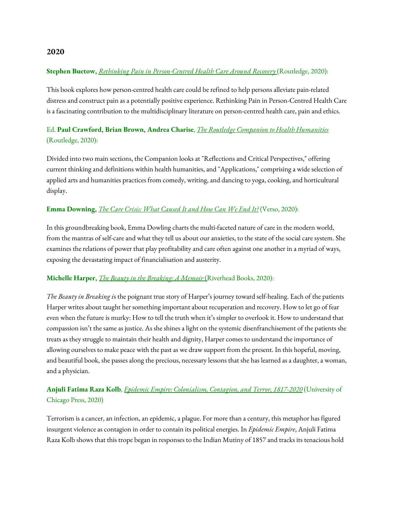#### **Stephen Buetow,** *Rethinking Pain in [Person-Centred](https://www.routledge.com/Rethinking-Pain-in-Person-Centred-Health-Care-Around-Recovery/Buetow/p/book/9780367322113) Health Care Around Recovery* (Routledge, 2020):

This book explores how person-centred health care could be refined to help persons alleviate pain-related distress and construct pain as a potentially positive experience. Rethinking Pain in Person-Centred Health Care is a fascinating contribution to the multidisciplinary literature on person-centred health care, pain and ethics.

## Ed. **Paul Crawford, Brian Brown, Andrea Charise**, *The Routledge Companion to Health [Humanities](https://www.routledge.com/The-Routledge-Companion-to-Health-Humanities/Crawford-Brown-Charise/p/book/9781138579903)* (Routledge, 2020):

Divided into two main sections, the Companion looks at "Reflections and Critical Perspectives," offering current thinking and definitions within health humanities, and "Applications," comprising a wide selection of applied arts and humanities practices from comedy, writing, and dancing to yoga, cooking, and horticultural display.

#### **Emma Downing,** *The Care Crisis: What [Caused](https://www.versobooks.com/books/3667-the-care-crisis) It and How Can We End It?* (Verso, 2020):

In this groundbreaking book, Emma Dowling charts the multi-faceted nature of care in the modern world, from the mantras of self-care and what they tell us about our anxieties, to the state of the social care system. She examines the relations of power that play profitability and care often against one another in a myriad of ways, exposing the devastating impact of financialisation and austerity.

#### **Michelle Harper,** *The Beauty in the [Breaking:](https://www.penguinrandomhouse.com/books/580340/the-beauty-in-breaking-by-michele-harper/) A Memoir* [\(](https://www.penguinrandomhouse.com/books/580340/the-beauty-in-breaking-by-michele-harper/)Riverhead Books, 2020):

*The Beauty in Breaking i*s the poignant true story of Harper's journey toward self-healing. Each of the patients Harper writes about taught her something important about recuperation and recovery. How to let go of fear even when the future is murky: How to tell the truth when it's simpler to overlook it. How to understand that compassion isn't the same as justice. As she shines a light on the systemic disenfranchisement of the patients she treats as they struggle to maintain their health and dignity, Harper comes to understand the importance of allowing ourselves to make peace with the past as we draw support from the present. In this hopeful, moving, and beautiful book, she passes along the precious, necessary lessons that she has learned as a daughter, a woman, and a physician.

### **Anjuli Fatima Raza Kolb**, *Epidemic Empire: [Colonialism,](https://press.uchicago.edu/ucp/books/book/chicago/E/bo63099943.html) Contagion, and Terror, 1817-2020* (University of Chicago Press, 2020)

Terrorism is a cancer, an infection, an epidemic, a plague. For more than a century, this metaphor has figured insurgent violence as contagion in order to contain its political energies. In *Epidemic Empire*, Anjuli Fatima Raza Kolb shows that this trope began in responses to the Indian Mutiny of 1857 and tracks its tenacious hold

#### **2020**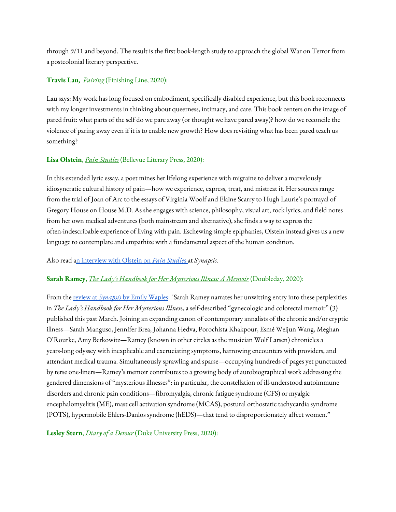through 9/11 and beyond. The result is the first book-length study to approach the global War on Terror from a postcolonial literary perspective.

### **Travis Lau[,](https://www.amazon.in/Writing-self-Illness-Amala-Poli/dp/9388337050/ref=sr_1_1?keywords=amala+poli&qid=1572223997&sr=8-1)** *[Pairing](https://www.finishinglinepress.com/product/paring-by-travis-chi-wing-lau/)* (Finishing Line, 2020):

Lau says: My work has long focused on embodiment, specifically disabled experience, but this book reconnects with my longer investments in thinking about queerness, intimacy, and care. This book centers on the image of pared fruit: what parts of the self do we pare away (or thought we have pared away)? how do we reconcile the violence of paring away even if it is to enable new growth? How does revisiting what has been pared teach us something?

#### **Lisa Olstein**, *Pain [Studies](https://blpress.org/books/pain-studies/)* (Bellevue Literary Press, 2020):

In this extended lyric essay, a poet mines her lifelong experience with migraine to deliver a marvelously idiosyncratic cultural history of pain—how we experience, express, treat, and mistreat it. Her sources range from the trial of Joan of Arc to the essays of Virginia Woolf and Elaine Scarry to Hugh Laurie's portrayal of Gregory House on House M.D. As she engages with science, philosophy, visual art, rock lyrics, and field notes from her own medical adventures (both mainstream and alternative), she finds a way to express the often-indescribable experience of living with pain. Eschewing simple epiphanies, Olstein instead gives us a new language to contemplate and empathize with a fundamental aspect of the human condition.

#### Also read an [interview](https://medicalhealthhumanities.com/2021/02/22/interview-lisa-olstein-on-pain-studies/) with Olstein on *Pain [Studie](https://medicalhealthhumanities.com/2021/02/22/interview-lisa-olstein-on-pain-studies/)*[s](https://medicalhealthhumanities.com/2021/02/22/interview-lisa-olstein-on-pain-studies/) at *Synapsis*.

#### **Sarah Ramey**, *The Lady's Handbook for Her [Mysterious](https://www.penguinrandomhouse.com/books/207159/the-ladys-handbook-for-her-mysterious-illness-by-sarah-ramey/) Illness: A Memoir* (Doubleday, 2020):

From the [review](https://medicalhealthhumanities.com/2021/01/28/entering-the-mystery-the-ladys-handbook-for-her-mysterious-illness/) at *[Synapsis](https://medicalhealthhumanities.com/2021/01/28/entering-the-mystery-the-ladys-handbook-for-her-mysterious-illness/)* by Emily [Waples](https://medicalhealthhumanities.com/2021/01/28/entering-the-mystery-the-ladys-handbook-for-her-mysterious-illness/): "Sarah Ramey narrates her unwitting entry into these perplexities in *The Lady's Handbook for Her Mysterious Illnes*s, a self-described "gynecologic and colorectal memoir" (3) published this past March. Joining an expanding canon of contemporary annalists of the chronic and/or cryptic illness—Sarah Manguso, Jennifer Brea, Johanna Hedva, Porochista Khakpour, Esmé Weijun Wang, Meghan O'Rourke, Amy Berkowitz—Ramey (known in other circles as the musician Wolf Larsen) chronicles a years-long odyssey with inexplicable and excruciating symptoms, harrowing encounters with providers, and attendant medical trauma. Simultaneously sprawling and sparse—occupying hundreds of pages yet punctuated by terse one-liners—Ramey's memoir contributes to a growing body of autobiographical work addressing the gendered dimensions of "mysterious illnesses": in particular, the constellation of ill-understood autoimmune disorders and chronic pain conditions—fibromyalgia, chronic fatigue syndrome (CFS) or myalgic encephalomyelitis (ME), mast cell activation syndrome (MCAS), postural orthostatic tachycardia syndrome (POTS), hypermobile Ehlers-Danlos syndrome (hEDS)—that tend to disproportionately affect women."

**Lesley Stern**, *Diary of a [Detour](https://www.dukeupress.edu/diary-of-a-detour)* (Duke University Press, 2020):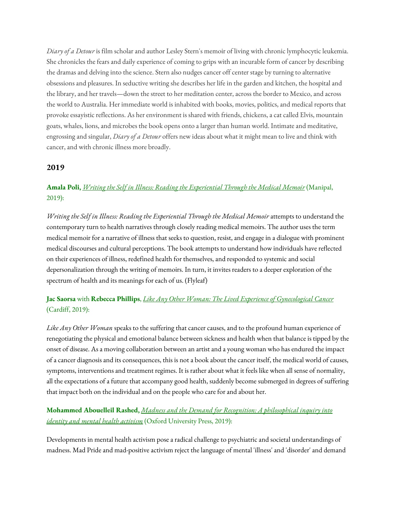*Diary of a Detour* is film scholar and author Lesley Stern's memoir of living with chronic lymphocytic leukemia. She chronicles the fears and daily experience of coming to grips with an incurable form of cancer by describing the dramas and delving into the science. Stern also nudges cancer off center stage by turning to alternative obsessions and pleasures. In seductive writing she describes her life in the garden and kitchen, the hospital and the library, and her travels—down the street to her meditation center, across the border to Mexico, and across the world to Australia. Her immediate world is inhabited with books, movies, politics, and medical reports that provoke essayistic reflections. As her environment is shared with friends, chickens, a cat called Elvis, mountain goats, whales, lions, and microbes the book opens onto a larger than human world. Intimate and meditative, engrossing and singular, *Diary of a Detour* offers new ideas about what it might mean to live and think with cancer, and with chronic illness more broadly.

#### **2019**

### **Amala Poli[,](https://www.amazon.in/Writing-self-Illness-Amala-Poli/dp/9388337050/ref=sr_1_1?keywords=amala+poli&qid=1572223997&sr=8-1)** *Writing the Self in Illness: Reading the [Experiential](https://www.amazon.in/Writing-self-Illness-Amala-Poli/dp/9388337050/ref=sr_1_1?keywords=amala+poli&qid=1572223997&sr=8-1) Through the Medical Memoir* (Manipal, 2019):

*Writing the Self in Illness: Reading the Experiential Through the Medical Memoir* attempts to understand the contemporary turn to health narratives through closely reading medical memoirs. The author uses the term medical memoir for a narrative of illness that seeks to question, resist, and engage in a dialogue with prominent medical discourses and cultural perceptions. The book attempts to understand how individuals have reflected on their experiences of illness, redefined health for themselves, and responded to systemic and social depersonalization through the writing of memoirs. In turn, it invites readers to a deeper exploration of the spectrum of health and its meanings for each of us. (Flyleaf)

## **Jac Saorsa** with **Rebecca Phillips**, *Like Any Other Woman: The Lived Experience of [Gynecological](https://www.amazon.co.uk/Like-Any-Other-Woman-Gynaecological/dp/1911653059/ref=sr_1_1?crid=3ABVWOQGEHTS8&keywords=like+any+other+woman&qid=1571937436&sprefix=like+any+other+woman%2Caps%2C179&sr=8-1) Cancer* (Cardiff, 2019):

*Like Any Other Woman* speaks to the suffering that cancer causes, and to the profound human experience of renegotiating the physical and emotional balance between sickness and health when that balance is tipped by the onset of disease. As a moving collaboration between an artist and a young woman who has endured the impact of a cancer diagnosis and its consequences, this is not a book about the cancer itself, the medical world of causes, symptoms, interventions and treatment regimes. It is rather about what it feels like when all sense of normality, all the expectations of a future that accompany good health, suddenly become submerged in degrees of suffering that impact both on the individual and on the people who care for and about her.

### **Mohammed Abouelleil Rashed,** *Madness and the Demand for Recognition: A [philosophical](https://global.oup.com/academic/product/madness-and-the-demand-for-recognition-9780198786863?cc=us&lang=en&) inquiry into identity and mental health [activism](https://global.oup.com/academic/product/madness-and-the-demand-for-recognition-9780198786863?cc=us&lang=en&)* (Oxford University Press, 2019):

Developments in mental health activism pose a radical challenge to psychiatric and societal understandings of madness. Mad Pride and mad-positive activism reject the language of mental 'illness' and 'disorder' and demand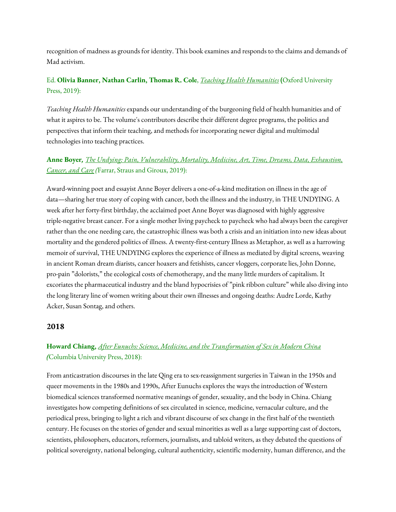recognition of madness as grounds for identity. This book examines and responds to the claims and demands of Mad activism.

## Ed. **Olivia Banner, Nathan Carlin, Thomas R. Cole**, *Teaching Health [Humanities](https://global.oup.com/academic/product/teaching-health-humanities-9780190636890?cc=us&lang=en&)* **(**Oxford University Press, 2019):

*Teaching Health Humanities* expands our understanding of the burgeoning field of health humanities and of what it aspires to be. The volume's contributors describe their different degree programs, the politics and perspectives that inform their teaching, and methods for incorporating newer digital and multimodal technologies into teaching practices.

## **Anne Boyer***, The Undying: Pain, [Vulnerability,](https://us.macmillan.com/books/9780374279349) Mortality, Medicine, Art, Time, Dreams, Data, Exhaustion, [Cancer,](https://us.macmillan.com/books/9780374279349) and Care (*Farrar, Straus and Giroux, 2019):

Award-winning poet and essayist Anne Boyer delivers a one-of-a-kind meditation on illness in the age of data—sharing her true story of coping with cancer, both the illness and the industry, in THE UNDYING. A week after her forty-first birthday, the acclaimed poet Anne Boyer was diagnosed with highly aggressive triple-negative breast cancer. For a single mother living paycheck to paycheck who had always been the caregiver rather than the one needing care, the catastrophic illness was both a crisis and an initiation into new ideas about mortality and the gendered politics of illness. A twenty-first-century Illness as Metaphor, as well as a harrowing memoir of survival, THE UNDYING explores the experience of illness as mediated by digital screens, weaving in ancient Roman dream diarists, cancer hoaxers and fetishists, cancer vloggers, corporate lies, John Donne, pro-pain "dolorists," the ecological costs of chemotherapy, and the many little murders of capitalism. It excoriates the pharmaceutical industry and the bland hypocrisies of "pink ribbon culture" while also diving into the long literary line of women writing about their own illnesses and ongoing deaths: Audre Lorde, Kathy Acker, Susan Sontag, and others.

### **2018**

## **Howard Chiang,** *After Eunuchs: Science, Medicine, and the [Transformation](https://cup.columbia.edu/book/after-eunuchs/9780231185783) of Sex in Modern China (*Columbia University Press, 2018):

From anticastration discourses in the late Qing era to sex-reassignment surgeries in Taiwan in the 1950s and queer movements in the 1980s and 1990s, After Eunuchs explores the ways the introduction of Western biomedical sciences transformed normative meanings of gender, sexuality, and the body in China. Chiang investigates how competing definitions of sex circulated in science, medicine, vernacular culture, and the periodical press, bringing to light a rich and vibrant discourse of sex change in the first half of the twentieth century. He focuses on the stories of gender and sexual minorities as well as a large supporting cast of doctors, scientists, philosophers, educators, reformers, journalists, and tabloid writers, as they debated the questions of political sovereignty, national belonging, cultural authenticity, scientific modernity, human difference, and the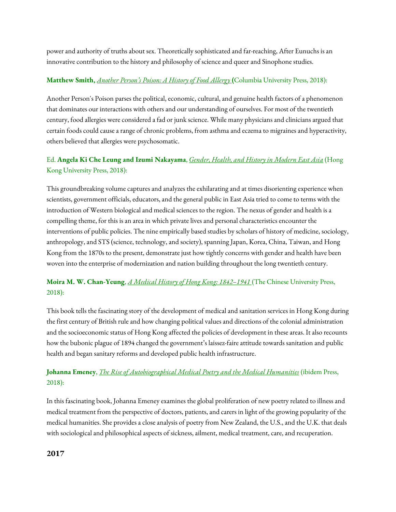power and authority of truths about sex. Theoretically sophisticated and far-reaching, After Eunuchs is an innovative contribution to the history and philosophy of science and queer and Sinophone studies.

### **Matthew Smith,** *[Another](http://cup.columbia.edu/book/another-persons-poison/9780231164856) Person's Poison: A History of Food Allerg[y](http://cup.columbia.edu/book/another-persons-poison/9780231164856)* **(**Columbia University Press, 2018):

Another Person's Poison parses the political, economic, cultural, and genuine health factors of a phenomenon that dominates our interactions with others and our understanding of ourselves. For most of the twentieth century, food allergies were considered a fad or junk science. While many physicians and clinicians argued that certain foods could cause a range of chronic problems, from asthma and eczema to migraines and hyperactivity, others believed that allergies were psychosomatic.

## Ed. **Angela Ki Che Leung and Izumi Nakayama**, *Gender, Health, and History in [Modern](https://press.uchicago.edu/ucp/books/book/distributed/G/bo37859057.html) East Asia* (Hong Kong University Press, 2018):

This groundbreaking volume captures and analyzes the exhilarating and at times disorienting experience when scientists, government officials, educators, and the general public in East Asia tried to come to terms with the introduction of Western biological and medical sciences to the region. The nexus of gender and health is a compelling theme, for this is an area in which private lives and personal characteristics encounter the interventions of public policies. The nine empirically based studies by scholars of history of medicine, sociology, anthropology, and STS (science, technology, and society), spanning Japan, Korea, China, Taiwan, and Hong Kong from the 1870s to the present, demonstrate just how tightly concerns with gender and health have been woven into the enterprise of modernization and nation building throughout the long twentieth century.

## **Moira M. W. Chan-Yeung**, *A Medical History of Hong Kong: [1842–1941](http://cup.columbia.edu/book/a-medical-history-of-hong-kong/9789882370852)* (The Chinese University Press, 2018):

This book tells the fascinating story of the development of medical and sanitation services in Hong Kong during the first century of British rule and how changing political values and directions of the colonial administration and the socioeconomic status of Hong Kong affected the policies of development in these areas. It also recounts how the bubonic plague of 1894 changed the government's laissez-faire attitude towards sanitation and public health and began sanitary reforms and developed public health infrastructure.

## **Johanna Emeney**, *The Rise of [Autobiographical](http://cup.columbia.edu/book/the-rise-of-autobiographical-medical-poetry-and-the-medical-humanities/9783838211282) Medical Poetry and the Medical Humanities* (ibidem Press, 2018):

In this fascinating book, Johanna Emeney examines the global proliferation of new poetry related to illness and medical treatment from the perspective of doctors, patients, and carers in light of the growing popularity of the medical humanities. She provides a close analysis of poetry from New Zealand, the U.S., and the U.K. that deals with sociological and philosophical aspects of sickness, ailment, medical treatment, care, and recuperation.

### **2017**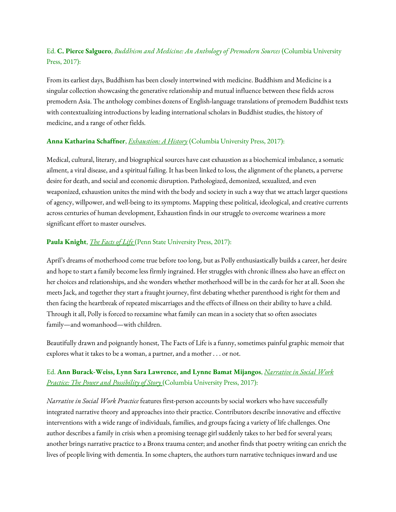## Ed. **C. Pierce Salguero**, *Buddhism and Medicine: An Anthology of [Premodern](http://cup.columbia.edu/book/buddhism-and-medicine/9780231179942) Sources* (Columbia University Press, 2017):

From its earliest days, Buddhism has been closely intertwined with medicine. Buddhism and Medicine is a singular collection showcasing the generative relationship and mutual influence between these fields across premodern Asia. The anthology combines dozens of English-language translations of premodern Buddhist texts with contextualizing introductions by leading international scholars in Buddhist studies, the history of medicine, and a range of other fields.

#### **Anna Katharina Schaffner**, *[Exhaustion:](http://cup.columbia.edu/book/exhaustion/9780231172301) A History* (Columbia University Press, 2017):

Medical, cultural, literary, and biographical sources have cast exhaustion as a biochemical imbalance, a somatic ailment, a viral disease, and a spiritual failing. It has been linked to loss, the alignment of the planets, a perverse desire for death, and social and economic disruption. Pathologized, demonized, sexualized, and even weaponized, exhaustion unites the mind with the body and society in such a way that we attach larger questions of agency, willpower, and well-being to its symptoms. Mapping these political, ideological, and creative currents across centuries of human development, Exhaustion finds in our struggle to overcome weariness a more significant effort to master ourselves.

#### **Paula Knight**, *The [Facts](https://www.psupress.org/books/titles/978-0-271-07846-5.html) of Life* (Penn State University Press, 2017):

April's dreams of motherhood come true before too long, but as Polly enthusiastically builds a career, her desire and hope to start a family become less firmly ingrained. Her struggles with chronic illness also have an effect on her choices and relationships, and she wonders whether motherhood will be in the cards for her at all. Soon she meets Jack, and together they start a fraught journey, first debating whether parenthood is right for them and then facing the heartbreak of repeated miscarriages and the effects of illness on their ability to have a child. Through it all, Polly is forced to reexamine what family can mean in a society that so often associates family—and womanhood—with children.

Beautifully drawn and poignantly honest, The Facts of Life is a funny, sometimes painful graphic memoir that explores what it takes to be a woman, a partner, and a mother . . . or not.

### Ed. **Ann Burack-Weiss, Lynn Sara Lawrence, and Lynne Bamat Mijangos**, *[Narrative](https://cup.columbia.edu/book/narrative-in-social-work-practice/9780231173612) in Social Work Practice: The Power and [Possibility](https://cup.columbia.edu/book/narrative-in-social-work-practice/9780231173612) of Story* (Columbia University Press, 2017):

*Narrative in Social Work Practice* features first-person accounts by social workers who have successfully integrated narrative theory and approaches into their practice. Contributors describe innovative and effective interventions with a wide range of individuals, families, and groups facing a variety of life challenges. One author describes a family in crisis when a promising teenage girl suddenly takes to her bed for several years; another brings narrative practice to a Bronx trauma center; and another finds that poetry writing can enrich the lives of people living with dementia. In some chapters, the authors turn narrative techniques inward and use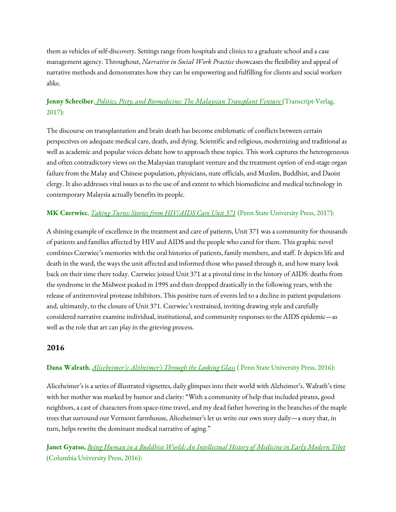them as vehicles of self-discovery. Settings range from hospitals and clinics to a graduate school and a case management agency. Throughout, *Narrative in Social Work Practice* showcases the flexibility and appeal of narrative methods and demonstrates how they can be empowering and fulfilling for clients and social workers alike.

## **Jenny Schreiber**[,](https://cup.columbia.edu/book/politics-piety-and-biomedicine/9783837637021) *Politics, Piety, and [Biomedicine:](https://cup.columbia.edu/book/politics-piety-and-biomedicine/9783837637021) The Malaysian Transplant Venture* (Transcript-Verlag, 2017):

The discourse on transplantation and brain death has become emblematic of conflicts between certain perspectives on adequate medical care, death, and dying. Scientific and religious, modernizing and traditional as well as academic and popular voices debate how to approach these topics. This work captures the heterogeneous and often contradictory views on the Malaysian transplant venture and the treatment option of end-stage organ failure from the Malay and Chinese population, physicians, state officials, and Muslim, Buddhist, and Daoist clergy. It also addresses vital issues as to the use of and extent to which biomedicine and medical technology in contemporary Malaysia actually benefits its people.

### **MK Czerwiec**, *Taking Turns: Stories from [HIV/AIDS](https://www.psupress.org/books/titles/978-0-271-07818-2.html) Care Unit 371* (Penn State University Press, 2017):

A shining example of excellence in the treatment and care of patients, Unit 371 was a community for thousands of patients and families affected by HIV and AIDS and the people who cared for them. This graphic novel combines Czerwiec's memories with the oral histories of patients, family members, and staff. It depicts life and death in the ward, the ways the unit affected and informed those who passed through it, and how many look back on their time there today. Czerwiec joined Unit 371 at a pivotal time in the history of AIDS: deaths from the syndrome in the Midwest peaked in 1995 and then dropped drastically in the following years, with the release of antiretroviral protease inhibitors. This positive turn of events led to a decline in patient populations and, ultimately, to the closure of Unit 371. Czerwiec's restrained, inviting drawing style and carefully considered narrative examine individual, institutional, and community responses to the AIDS epidemic—as well as the role that art can play in the grieving process.

### **2016**

### **Dana Walrath**, *[Aliceheimer's:](https://www.psupress.org/books/titles/978-0-271-07468-9.html) Alzheimer's Through the Looking Glass* ( Penn State University Press, 2016):

Aliceheimer's is a series of illustrated vignettes, daily glimpses into their world with Alzheimer's. Walrath's time with her mother was marked by humor and clarity: "With a community of help that included pirates, good neighbors, a cast of characters from space-time travel, and my dead father hovering in the branches of the maple trees that surround our Vermont farmhouse, Aliceheimer's let us write our own story daily—a story that, in turn, helps rewrite the dominant medical narrative of aging."

**Janet Gyatso,** *Being Human in a Buddhist World: An [Intellectual](http://cup.columbia.edu/book/being-human-in-a-buddhist-world/9780231164962) History of Medicine in Early Modern Tibet* (Columbia University Press, 2016):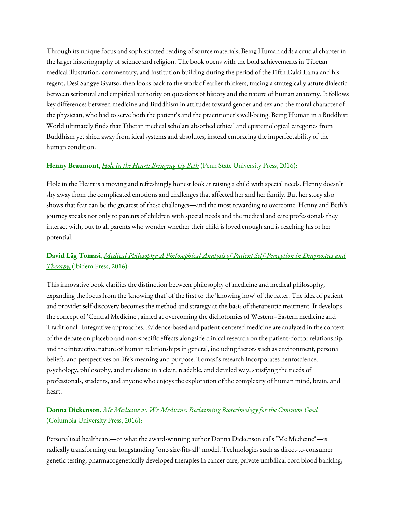Through its unique focus and sophisticated reading of source materials, Being Human adds a crucial chapter in the larger historiography of science and religion. The book opens with the bold achievements in Tibetan medical illustration, commentary, and institution building during the period of the Fifth Dalai Lama and his regent, Desi Sangye Gyatso, then looks back to the work of earlier thinkers, tracing a strategically astute dialectic between scriptural and empirical authority on questions of history and the nature of human anatomy. It follows key differences between medicine and Buddhism in attitudes toward gender and sex and the moral character of the physician, who had to serve both the patient's and the practitioner's well-being. Being Human in a Buddhist World ultimately finds that Tibetan medical scholars absorbed ethical and epistemological categories from Buddhism yet shied away from ideal systems and absolutes, instead embracing the imperfectability of the human condition.

#### **Henny Beaumont,** *Hole in the Heart: [Bringing](https://www.psupress.org/books/titles/978-0-271-07740-6.html) Up Beth* (Penn State University Press, 2016):

Hole in the Heart is a moving and refreshingly honest look at raising a child with special needs. Henny doesn't shy away from the complicated emotions and challenges that affected her and her family. But her story also shows that fear can be the greatest of these challenges—and the most rewarding to overcome. Henny and Beth's journey speaks not only to parents of children with special needs and the medical and care professionals they interact with, but to all parents who wonder whether their child is loved enough and is reaching his or her potential.

# **David Låg Tomasi**, *Medical Philosophy: A Philosophical Analysis of Patient [Self-Perception](http://cup.columbia.edu/book/medical-philosophy/9783838209753) in Diagnostics and [Therapy,](http://cup.columbia.edu/book/medical-philosophy/9783838209753)* (ibidem Press, 2016):

This innovative book clarifies the distinction between philosophy of medicine and medical philosophy, expanding the focus from the 'knowing that' of the first to the 'knowing how' of the latter. The idea of patient and provider self-discovery becomes the method and strategy at the basis of therapeutic treatment. It develops the concept of 'Central Medicine', aimed at overcoming the dichotomies of Western–Eastern medicine and Traditional–Integrative approaches. Evidence-based and patient-centered medicine are analyzed in the context of the debate on placebo and non-specific effects alongside clinical research on the patient-doctor relationship, and the interactive nature of human relationships in general, including factors such as environment, personal beliefs, and perspectives on life's meaning and purpose. Tomasi's research incorporates neuroscience, psychology, philosophy, and medicine in a clear, readable, and detailed way, satisfying the needs of professionals, students, and anyone who enjoys the exploration of the complexity of human mind, brain, and heart.

### **Donna Dickenson,** *[M](http://cup.columbia.edu/book/me-medicine-vs-we-medicine/9780231159753)e Medicine vs. We Medicine: Reclaiming [Biotechnology](http://cup.columbia.edu/book/me-medicine-vs-we-medicine/9780231159753) for the Common Good* (Columbia University Press, 2016):

Personalized healthcare—or what the award-winning author Donna Dickenson calls "Me Medicine"—is radically transforming our longstanding "one-size-fits-all" model. Technologies such as direct-to-consumer genetic testing, pharmacogenetically developed therapies in cancer care, private umbilical cord blood banking,